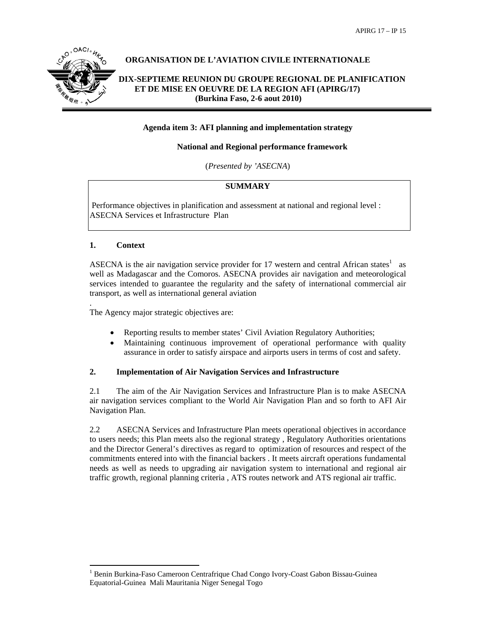

# **ORGANISATION DE L'AVIATION CIVILE INTERNATIONALE**

# **DIX-SEPTIEME REUNION DU GROUPE REGIONAL DE PLANIFICATION ET DE MISE EN OEUVRE DE LA REGION AFI (APIRG/17) (Burkina Faso, 2-6 aout 2010)**

#### **Agenda item 3: AFI planning and implementation strategy**

#### **National and Regional performance framework**

(*Presented by 'ASECNA*)

#### **SUMMARY**

 Performance objectives in planification and assessment at national and regional level : ASECNA Services et Infrastructure Plan

#### **1. Context**

.

ASECNA is the air navigation service provider for 17 western and central African states<sup>1</sup> as well as Madagascar and the Comoros. ASECNA provides air navigation and meteorological services intended to guarantee the regularity and the safety of international commercial air transport, as well as international general aviation

The Agency major strategic objectives are:

- Reporting results to member states' Civil Aviation Regulatory Authorities;
- Maintaining continuous improvement of operational performance with quality assurance in order to satisfy airspace and airports users in terms of cost and safety.

#### **2. Implementation of Air Navigation Services and Infrastructure**

2.1 The aim of the Air Navigation Services and Infrastructure Plan is to make ASECNA air navigation services compliant to the World Air Navigation Plan and so forth to AFI Air Navigation Plan.

2.2 ASECNA Services and Infrastructure Plan meets operational objectives in accordance to users needs; this Plan meets also the regional strategy , Regulatory Authorities orientations and the Director General's directives as regard to optimization of resources and respect of the commitments entered into with the financial backers . It meets aircraft operations fundamental needs as well as needs to upgrading air navigation system to international and regional air traffic growth, regional planning criteria , ATS routes network and ATS regional air traffic.

l <sup>1</sup> Benin Burkina-Faso Cameroon Centrafrique Chad Congo Ivory-Coast Gabon Bissau-Guinea Equatorial-Guinea Mali Mauritania Niger Senegal Togo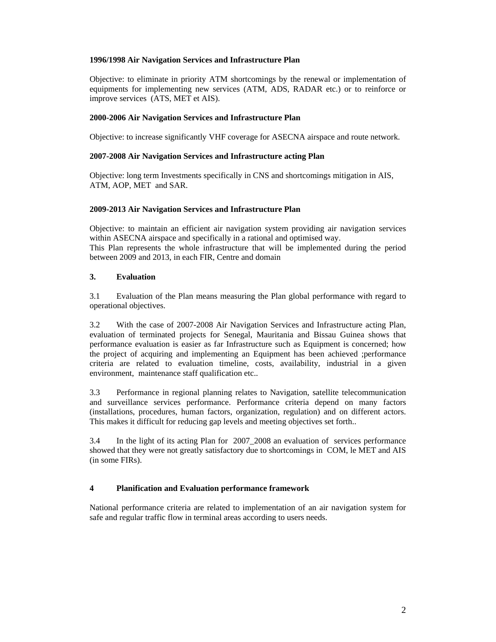#### **1996/1998 Air Navigation Services and Infrastructure Plan**

Objective: to eliminate in priority ATM shortcomings by the renewal or implementation of equipments for implementing new services (ATM, ADS, RADAR etc.) or to reinforce or improve services (ATS, MET et AIS).

## **2000-2006 Air Navigation Services and Infrastructure Plan**

Objective: to increase significantly VHF coverage for ASECNA airspace and route network.

## **2007-2008 Air Navigation Services and Infrastructure acting Plan**

Objective: long term Investments specifically in CNS and shortcomings mitigation in AIS, ATM, AOP, MET and SAR.

## **2009-2013 Air Navigation Services and Infrastructure Plan**

Objective: to maintain an efficient air navigation system providing air navigation services within ASECNA airspace and specifically in a rational and optimised way.

This Plan represents the whole infrastructure that will be implemented during the period between 2009 and 2013, in each FIR, Centre and domain

## **3. Evaluation**

3.1 Evaluation of the Plan means measuring the Plan global performance with regard to operational objectives.

3.2 With the case of 2007-2008 Air Navigation Services and Infrastructure acting Plan, evaluation of terminated projects for Senegal, Mauritania and Bissau Guinea shows that performance evaluation is easier as far Infrastructure such as Equipment is concerned; how the project of acquiring and implementing an Equipment has been achieved ;performance criteria are related to evaluation timeline, costs, availability, industrial in a given environment, maintenance staff qualification etc..

3.3 Performance in regional planning relates to Navigation, satellite telecommunication and surveillance services performance. Performance criteria depend on many factors (installations, procedures, human factors, organization, regulation) and on different actors. This makes it difficult for reducing gap levels and meeting objectives set forth..

3.4 In the light of its acting Plan for 2007\_2008 an evaluation of services performance showed that they were not greatly satisfactory due to shortcomings in COM, le MET and AIS (in some FIRs).

# **4 Planification and Evaluation performance framework**

National performance criteria are related to implementation of an air navigation system for safe and regular traffic flow in terminal areas according to users needs.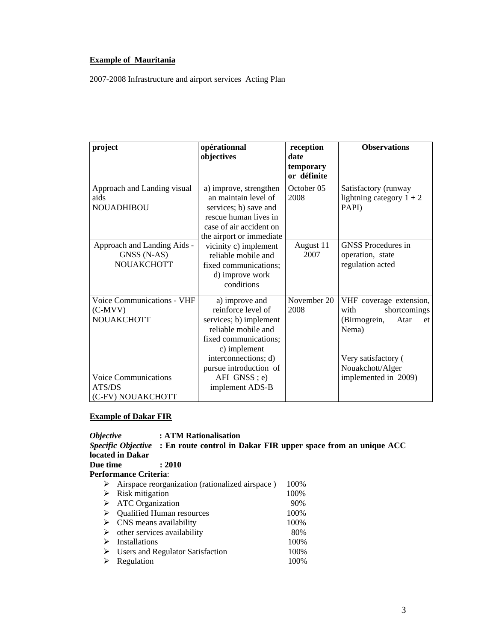## **Example of Mauritania**

2007-2008 Infrastructure and airport services Acting Plan

| project                                                                                                                    | opérationnal<br>objectives                                                                                                                                                                                          | reception<br>date<br>temporary<br>or définite | <b>Observations</b>                                                                                                                                       |
|----------------------------------------------------------------------------------------------------------------------------|---------------------------------------------------------------------------------------------------------------------------------------------------------------------------------------------------------------------|-----------------------------------------------|-----------------------------------------------------------------------------------------------------------------------------------------------------------|
| Approach and Landing visual<br>aids<br><b>NOUADHIBOU</b>                                                                   | a) improve, strengthen<br>an maintain level of<br>services; b) save and<br>rescue human lives in<br>case of air accident on<br>the airport or immediate                                                             | October 05<br>2008                            | Satisfactory (runway<br>lightning category $1 + 2$<br>PAPI)                                                                                               |
| Approach and Landing Aids -<br>GNSS (N-AS)<br>NOUAKCHOTT                                                                   | vicinity c) implement<br>reliable mobile and<br>fixed communications;<br>d) improve work<br>conditions                                                                                                              | August 11<br>2007                             | <b>GNSS</b> Procedures in<br>operation, state<br>regulation acted                                                                                         |
| Voice Communications - VHF<br>$(C-MVV)$<br><b>NOUAKCHOTT</b><br><b>Voice Communications</b><br>ATS/DS<br>(C-FV) NOUAKCHOTT | a) improve and<br>reinforce level of<br>services; b) implement<br>reliable mobile and<br>fixed communications;<br>c) implement<br>interconnections; d)<br>pursue introduction of<br>AFI GNSS; e)<br>implement ADS-B | November 20<br>2008                           | VHF coverage extension,<br>shortcomings<br>with<br>(Birmogrein,<br>Atar<br>et<br>Nema)<br>Very satisfactory (<br>Nouakchott/Alger<br>implemented in 2009) |

## **Example of Dakar FIR**

*Objective* **: ATM Rationalisation**  *Specific Objective* **: En route control in Dakar FIR upper space from an unique ACC located in Dakar Due time : 2010 Performance Criteria**: ¾ Airspace reorganization (rationalized airspace ) 100% ¾ Risk mitigation 100% → ATC Organization 90%<br>
→ Qualified Human resources 100%  $\triangleright$  Qualified Human resources  $\geq$  CNS means availability 100%<br>  $\geq$  other services availability 80%  $\triangleright$  other services availability ¾ Installations 100% ¾ Users and Regulator Satisfaction 100% ¾ Regulation 100%